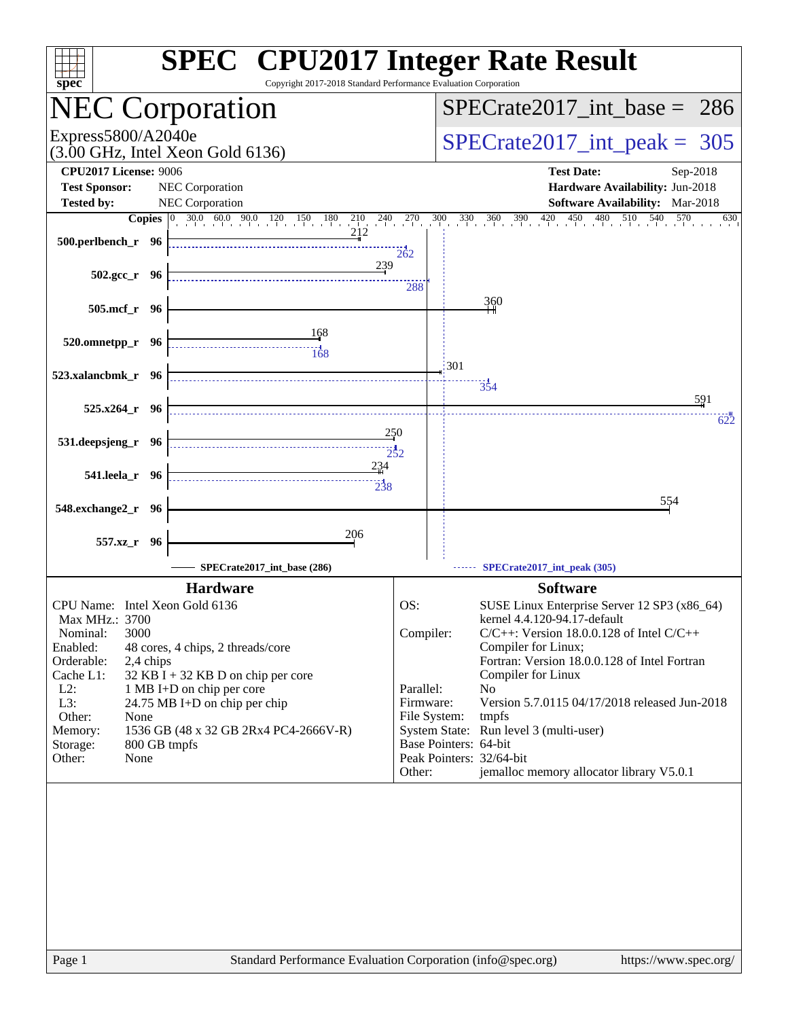| <b>SPEC<sup>®</sup></b> CPU2017 Integer Rate Result<br>$spec*$                                             | Copyright 2017-2018 Standard Performance Evaluation Corporation  |                                                                              |
|------------------------------------------------------------------------------------------------------------|------------------------------------------------------------------|------------------------------------------------------------------------------|
| <b>NEC Corporation</b>                                                                                     |                                                                  | $SPECrate2017\_int\_base = 286$                                              |
| Express5800/A2040e<br>$(3.00 \text{ GHz}, \text{Intel Xeon Gold } 6136)$                                   |                                                                  | $SPECTate2017$ _int_peak = 305                                               |
| <b>CPU2017 License: 9006</b>                                                                               |                                                                  | <b>Test Date:</b><br>Sep-2018                                                |
| <b>Test Sponsor:</b><br>NEC Corporation                                                                    |                                                                  | Hardware Availability: Jun-2018                                              |
| <b>Tested by:</b><br>NEC Corporation                                                                       |                                                                  | <b>Software Availability:</b> Mar-2018                                       |
| <b>Copies</b> $\begin{bmatrix} 0 & 30.0 & 60.0 & 90.0 & 120 & 150 \end{bmatrix}$<br>180<br>$\frac{210}{1}$ | $^{240}$ $^{270}$<br>300<br>390<br>$\frac{420}{1}$<br>330<br>360 | 450<br>$\frac{480}{1}$<br>510<br>540<br>570<br>630                           |
| 212<br>500.perlbench_r 96                                                                                  | 262                                                              |                                                                              |
| $502.\text{gcc r}$ 96                                                                                      | 239<br>288                                                       |                                                                              |
| 505.mcf_r 96                                                                                               | 360                                                              |                                                                              |
| <u>168</u><br>520.omnetpp_r 96                                                                             |                                                                  |                                                                              |
| $\frac{1}{168}$                                                                                            | 301                                                              |                                                                              |
| 523.xalancbmk_r 96                                                                                         | 354                                                              |                                                                              |
| $525.x264$ $r$ 96                                                                                          |                                                                  | 591<br>622                                                                   |
| 531.deepsjeng_r 96                                                                                         | 250<br>$\frac{1}{252}$                                           |                                                                              |
| 541.leela_r 96                                                                                             | 234                                                              |                                                                              |
|                                                                                                            | $\frac{11}{238}$                                                 | 554                                                                          |
| 548.exchange2_r<br>- 96                                                                                    |                                                                  |                                                                              |
| 206<br>557.xz_r 96                                                                                         |                                                                  |                                                                              |
| SPECrate2017_int_base (286)                                                                                | SPECrate2017_int_peak (305)                                      |                                                                              |
| <b>Hardware</b>                                                                                            |                                                                  | <b>Software</b>                                                              |
| CPU Name: Intel Xeon Gold 6136<br>Max MHz.: 3700                                                           | OS:                                                              | SUSE Linux Enterprise Server 12 SP3 (x86_64)<br>kernel 4.4.120-94.17-default |
| 3000<br>Nominal:                                                                                           | Compiler:                                                        | $C/C++$ : Version 18.0.0.128 of Intel $C/C++$                                |
| Enabled:<br>48 cores, 4 chips, 2 threads/core                                                              | Compiler for Linux;                                              |                                                                              |
| Orderable:<br>2,4 chips<br>Cache L1:<br>$32$ KB I + 32 KB D on chip per core                               | Compiler for Linux                                               | Fortran: Version 18.0.0.128 of Intel Fortran                                 |
| $L2$ :<br>1 MB I+D on chip per core                                                                        | Parallel:<br>N <sub>0</sub>                                      |                                                                              |
| L3:<br>24.75 MB I+D on chip per chip                                                                       | Firmware:                                                        | Version 5.7.0115 04/17/2018 released Jun-2018                                |
| Other:<br>None<br>1536 GB (48 x 32 GB 2Rx4 PC4-2666V-R)<br>Memory:                                         | File System:<br>tmpfs<br>System State: Run level 3 (multi-user)  |                                                                              |
| 800 GB tmpfs<br>Storage:                                                                                   | Base Pointers: 64-bit                                            |                                                                              |
| Other:<br>None                                                                                             | Peak Pointers: 32/64-bit                                         |                                                                              |
|                                                                                                            | Other:                                                           | jemalloc memory allocator library V5.0.1                                     |
|                                                                                                            |                                                                  |                                                                              |
|                                                                                                            |                                                                  |                                                                              |
|                                                                                                            |                                                                  |                                                                              |
| Page 1                                                                                                     | Standard Performance Evaluation Corporation (info@spec.org)      | https://www.spec.org/                                                        |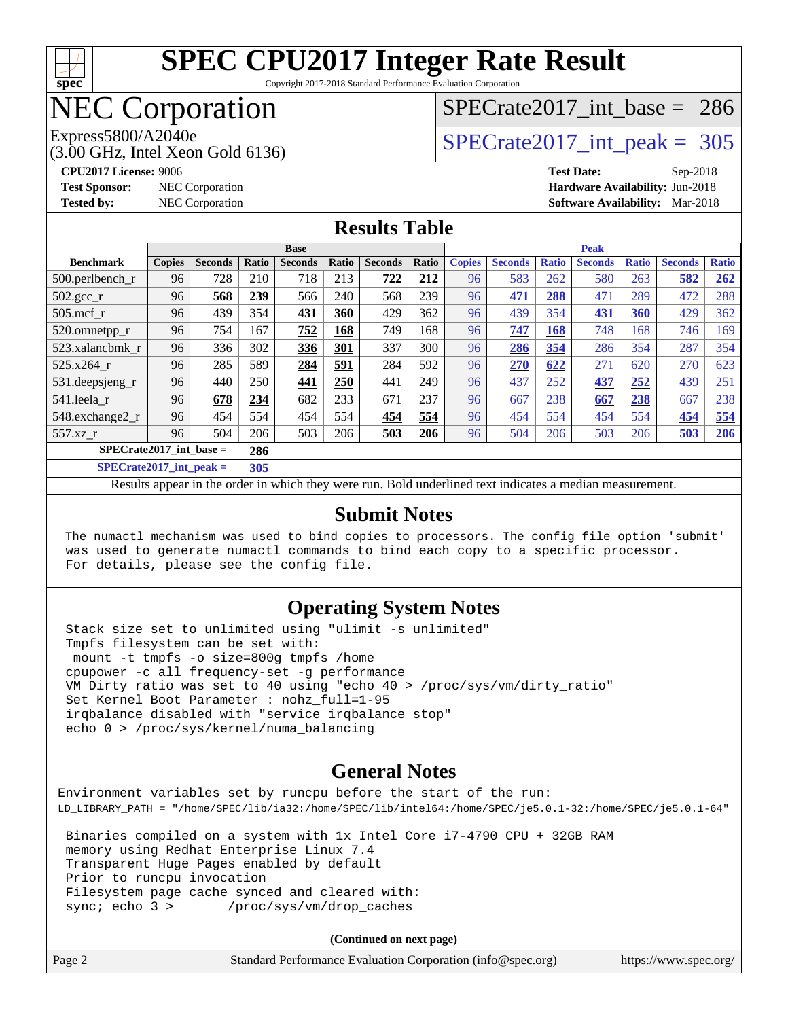

Copyright 2017-2018 Standard Performance Evaluation Corporation

# NEC Corporation

## [SPECrate2017\\_int\\_base =](http://www.spec.org/auto/cpu2017/Docs/result-fields.html#SPECrate2017intbase) 286

Express5800/A2040e<br>(3.00 GHz, Intel Xeon Gold 6136)

 $SPECTate2017\_int\_peak = 305$ 

**[CPU2017 License:](http://www.spec.org/auto/cpu2017/Docs/result-fields.html#CPU2017License)** 9006 **[Test Date:](http://www.spec.org/auto/cpu2017/Docs/result-fields.html#TestDate)** Sep-2018 **[Test Sponsor:](http://www.spec.org/auto/cpu2017/Docs/result-fields.html#TestSponsor)** NEC Corporation **[Hardware Availability:](http://www.spec.org/auto/cpu2017/Docs/result-fields.html#HardwareAvailability)** Jun-2018 **[Tested by:](http://www.spec.org/auto/cpu2017/Docs/result-fields.html#Testedby)** NEC Corporation **[Software Availability:](http://www.spec.org/auto/cpu2017/Docs/result-fields.html#SoftwareAvailability)** Mar-2018

#### **[Results Table](http://www.spec.org/auto/cpu2017/Docs/result-fields.html#ResultsTable)**

|                                  | <b>Base</b>                        |                |                      |                | <b>Peak</b> |                |       |               |                |              |                |              |                |              |
|----------------------------------|------------------------------------|----------------|----------------------|----------------|-------------|----------------|-------|---------------|----------------|--------------|----------------|--------------|----------------|--------------|
| <b>Benchmark</b>                 | <b>Copies</b>                      | <b>Seconds</b> | <b>Ratio</b>         | <b>Seconds</b> | Ratio       | <b>Seconds</b> | Ratio | <b>Copies</b> | <b>Seconds</b> | <b>Ratio</b> | <b>Seconds</b> | <b>Ratio</b> | <b>Seconds</b> | <b>Ratio</b> |
| 500.perlbench_r                  | 96                                 | 728            | 210                  | 718            | 213         | 722            | 212   | 96            | 583            | 262          | 580            | 263          | 582            | 262          |
| $502.\text{gcc\_r}$              | 96                                 | 568            | 239                  | 566            | 240         | 568            | 239   | 96            | 471            | 288          | 471            | 289          | 472            | 288          |
| $505$ .mcf r                     | 96                                 | 439            | 354                  | 431            | 360         | 429            | 362   | 96            | 439            | 354          | 431            | 360          | 429            | 362          |
| 520.omnetpp_r                    | 96                                 | 754            | 167                  | 752            | 168         | 749            | 168   | 96            | 747            | 168          | 748            | 168          | 746            | 169          |
| 523.xalancbmk r                  | 96                                 | 336            | 302                  | 336            | 301         | 337            | 300   | 96            | 286            | 354          | 286            | 354          | 287            | 354          |
| 525.x264 r                       | 96                                 | 285            | 589                  | 284            | 591         | 284            | 592   | 96            | 270            | 622          | 271            | 620          | 270            | 623          |
| 531.deepsjeng_r                  | 96                                 | 440            | 250                  | 441            | 250         | 441            | 249   | 96            | 437            | 252          | 437            | 252          | 439            | 251          |
| 541.leela r                      | 96                                 | 678            | 234                  | 682            | 233         | 671            | 237   | 96            | 667            | 238          | 667            | 238          | 667            | 238          |
| 548.exchange2_r                  | 96                                 | 454            | 554                  | 454            | 554         | 454            | 554   | 96            | 454            | 554          | 454            | 554          | 454            | 554          |
| 557.xz r                         | 96                                 | 504            | 206                  | 503            | 206         | 503            | 206   | 96            | 504            | 206          | 503            | 206          | <u>503</u>     | 206          |
| $SPECrate2017$ int base =<br>286 |                                    |                |                      |                |             |                |       |               |                |              |                |              |                |              |
| $\alpha$                         | $\sim$ $\sim$ $\sim$ $\sim$ $\sim$ |                | $\sim$ $\sim$ $\sim$ |                |             |                |       |               |                |              |                |              |                |              |

**[SPECrate2017\\_int\\_peak =](http://www.spec.org/auto/cpu2017/Docs/result-fields.html#SPECrate2017intpeak) 305**

Results appear in the [order in which they were run](http://www.spec.org/auto/cpu2017/Docs/result-fields.html#RunOrder). Bold underlined text [indicates a median measurement](http://www.spec.org/auto/cpu2017/Docs/result-fields.html#Median).

#### **[Submit Notes](http://www.spec.org/auto/cpu2017/Docs/result-fields.html#SubmitNotes)**

 The numactl mechanism was used to bind copies to processors. The config file option 'submit' was used to generate numactl commands to bind each copy to a specific processor. For details, please see the config file.

#### **[Operating System Notes](http://www.spec.org/auto/cpu2017/Docs/result-fields.html#OperatingSystemNotes)**

 Stack size set to unlimited using "ulimit -s unlimited" Tmpfs filesystem can be set with: mount -t tmpfs -o size=800g tmpfs /home cpupower -c all frequency-set -g performance VM Dirty ratio was set to 40 using "echo 40 > /proc/sys/vm/dirty\_ratio" Set Kernel Boot Parameter : nohz\_full=1-95 irqbalance disabled with "service irqbalance stop" echo 0 > /proc/sys/kernel/numa\_balancing

#### **[General Notes](http://www.spec.org/auto/cpu2017/Docs/result-fields.html#GeneralNotes)**

Environment variables set by runcpu before the start of the run: LD\_LIBRARY\_PATH = "/home/SPEC/lib/ia32:/home/SPEC/lib/intel64:/home/SPEC/je5.0.1-32:/home/SPEC/je5.0.1-64" Binaries compiled on a system with 1x Intel Core i7-4790 CPU + 32GB RAM memory using Redhat Enterprise Linux 7.4 Transparent Huge Pages enabled by default Prior to runcpu invocation Filesystem page cache synced and cleared with: sync; echo 3 > /proc/sys/vm/drop\_caches

| Page 2 | Standard Performance Evaluation Corporation (info@spec.org) | https://www.spec.org/ |
|--------|-------------------------------------------------------------|-----------------------|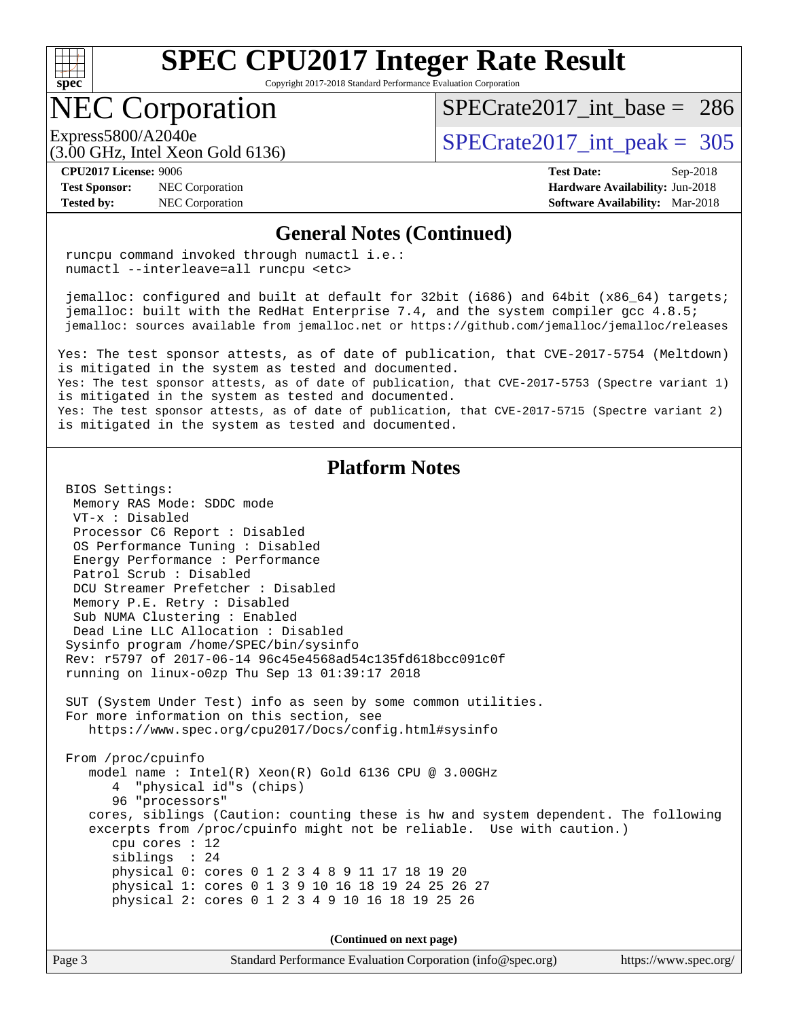

Copyright 2017-2018 Standard Performance Evaluation Corporation

## NEC Corporation

(3.00 GHz, Intel Xeon Gold 6136)

[SPECrate2017\\_int\\_base =](http://www.spec.org/auto/cpu2017/Docs/result-fields.html#SPECrate2017intbase) 286

Express5800/A2040e<br>  $\angle (3.00 \text{ GHz. Intel Yoon Gold } 6136)$   $\angle$  [SPECrate2017\\_int\\_peak =](http://www.spec.org/auto/cpu2017/Docs/result-fields.html#SPECrate2017intpeak) 305

#### **[CPU2017 License:](http://www.spec.org/auto/cpu2017/Docs/result-fields.html#CPU2017License)** 9006 **[Test Date:](http://www.spec.org/auto/cpu2017/Docs/result-fields.html#TestDate)** Sep-2018

**[Test Sponsor:](http://www.spec.org/auto/cpu2017/Docs/result-fields.html#TestSponsor)** NEC Corporation **[Hardware Availability:](http://www.spec.org/auto/cpu2017/Docs/result-fields.html#HardwareAvailability)** Jun-2018

**[Tested by:](http://www.spec.org/auto/cpu2017/Docs/result-fields.html#Testedby)** NEC Corporation **[Software Availability:](http://www.spec.org/auto/cpu2017/Docs/result-fields.html#SoftwareAvailability)** Mar-2018

#### **[General Notes \(Continued\)](http://www.spec.org/auto/cpu2017/Docs/result-fields.html#GeneralNotes)**

 runcpu command invoked through numactl i.e.: numactl --interleave=all runcpu <etc>

 jemalloc: configured and built at default for 32bit (i686) and 64bit (x86\_64) targets; jemalloc: built with the RedHat Enterprise 7.4, and the system compiler gcc 4.8.5; jemalloc: sources available from jemalloc.net or<https://github.com/jemalloc/jemalloc/releases>

Yes: The test sponsor attests, as of date of publication, that CVE-2017-5754 (Meltdown) is mitigated in the system as tested and documented. Yes: The test sponsor attests, as of date of publication, that CVE-2017-5753 (Spectre variant 1)

is mitigated in the system as tested and documented. Yes: The test sponsor attests, as of date of publication, that CVE-2017-5715 (Spectre variant 2) is mitigated in the system as tested and documented.

#### **[Platform Notes](http://www.spec.org/auto/cpu2017/Docs/result-fields.html#PlatformNotes)**

 BIOS Settings: Memory RAS Mode: SDDC mode VT-x : Disabled Processor C6 Report : Disabled OS Performance Tuning : Disabled Energy Performance : Performance Patrol Scrub : Disabled DCU Streamer Prefetcher : Disabled Memory P.E. Retry : Disabled Sub NUMA Clustering : Enabled Dead Line LLC Allocation : Disabled Sysinfo program /home/SPEC/bin/sysinfo Rev: r5797 of 2017-06-14 96c45e4568ad54c135fd618bcc091c0f running on linux-o0zp Thu Sep 13 01:39:17 2018 SUT (System Under Test) info as seen by some common utilities. For more information on this section, see <https://www.spec.org/cpu2017/Docs/config.html#sysinfo> From /proc/cpuinfo model name : Intel(R) Xeon(R) Gold 6136 CPU @ 3.00GHz 4 "physical id"s (chips) 96 "processors" cores, siblings (Caution: counting these is hw and system dependent. The following excerpts from /proc/cpuinfo might not be reliable. Use with caution.) cpu cores : 12 siblings : 24 physical 0: cores 0 1 2 3 4 8 9 11 17 18 19 20 physical 1: cores 0 1 3 9 10 16 18 19 24 25 26 27 physical 2: cores 0 1 2 3 4 9 10 16 18 19 25 26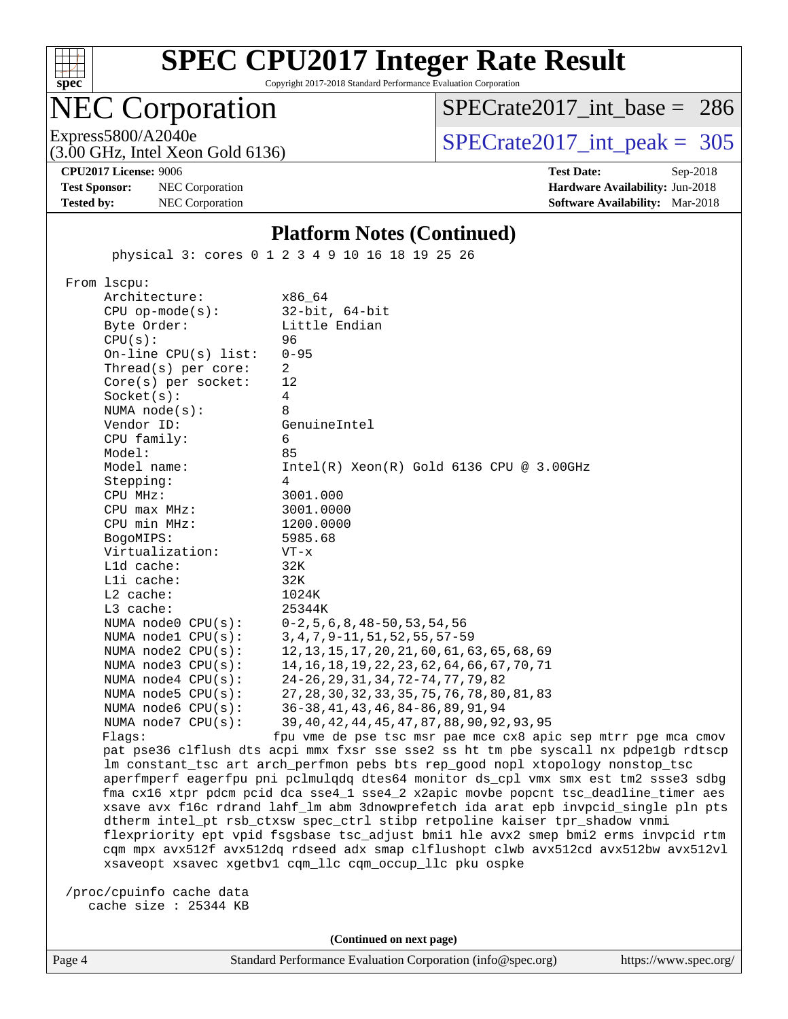

Copyright 2017-2018 Standard Performance Evaluation Corporation

# NEC Corporation

(3.00 GHz, Intel Xeon Gold 6136)

[SPECrate2017\\_int\\_base =](http://www.spec.org/auto/cpu2017/Docs/result-fields.html#SPECrate2017intbase) 286

Express5800/A2040e<br>  $\text{SPECrate2017\_int\_peak} = 305$ 

**[Test Sponsor:](http://www.spec.org/auto/cpu2017/Docs/result-fields.html#TestSponsor)** NEC Corporation **[Hardware Availability:](http://www.spec.org/auto/cpu2017/Docs/result-fields.html#HardwareAvailability)** Jun-2018

**[CPU2017 License:](http://www.spec.org/auto/cpu2017/Docs/result-fields.html#CPU2017License)** 9006 **[Test Date:](http://www.spec.org/auto/cpu2017/Docs/result-fields.html#TestDate)** Sep-2018 **[Tested by:](http://www.spec.org/auto/cpu2017/Docs/result-fields.html#Testedby)** NEC Corporation **[Software Availability:](http://www.spec.org/auto/cpu2017/Docs/result-fields.html#SoftwareAvailability)** Mar-2018

#### **[Platform Notes \(Continued\)](http://www.spec.org/auto/cpu2017/Docs/result-fields.html#PlatformNotes)**

physical 3: cores 0 1 2 3 4 9 10 16 18 19 25 26

 From lscpu: Architecture: x86\_64 CPU op-mode(s): 32-bit, 64-bit Byte Order: Little Endian CPU(s): 96 On-line CPU(s) list: 0-95 Thread(s) per core: 2 Core(s) per socket: 12 Socket(s): 4 NUMA node(s): 8 Vendor ID: GenuineIntel CPU family: 6 Model: 85 Model name: Intel(R) Xeon(R) Gold 6136 CPU @ 3.00GHz Stepping: 4 CPU MHz: 3001.000 CPU max MHz: 3001.0000 CPU min MHz: 1200.0000 BogoMIPS: 5985.68 Virtualization: VT-x L1d cache: 32K L1i cache: 32K L2 cache: 1024K L3 cache: 25344K NUMA node0 CPU(s): 0-2,5,6,8,48-50,53,54,56 NUMA node1 CPU(s): 3,4,7,9-11,51,52,55,57-59 NUMA node2 CPU(s): 12,13,15,17,20,21,60,61,63,65,68,69 NUMA node3 CPU(s): 14,16,18,19,22,23,62,64,66,67,70,71 NUMA node4 CPU(s): 24-26,29,31,34,72-74,77,79,82 NUMA node5 CPU(s): 27,28,30,32,33,35,75,76,78,80,81,83 NUMA node6 CPU(s): 36-38,41,43,46,84-86,89,91,94 NUMA node7 CPU(s): 39,40,42,44,45,47,87,88,90,92,93,95 Flags: fpu vme de pse tsc msr pae mce cx8 apic sep mtrr pge mca cmov pat pse36 clflush dts acpi mmx fxsr sse sse2 ss ht tm pbe syscall nx pdpe1gb rdtscp lm constant\_tsc art arch\_perfmon pebs bts rep\_good nopl xtopology nonstop\_tsc

 aperfmperf eagerfpu pni pclmulqdq dtes64 monitor ds\_cpl vmx smx est tm2 ssse3 sdbg fma cx16 xtpr pdcm pcid dca sse4\_1 sse4\_2 x2apic movbe popcnt tsc\_deadline\_timer aes xsave avx f16c rdrand lahf\_lm abm 3dnowprefetch ida arat epb invpcid\_single pln pts dtherm intel\_pt rsb\_ctxsw spec\_ctrl stibp retpoline kaiser tpr\_shadow vnmi flexpriority ept vpid fsgsbase tsc\_adjust bmi1 hle avx2 smep bmi2 erms invpcid rtm cqm mpx avx512f avx512dq rdseed adx smap clflushopt clwb avx512cd avx512bw avx512vl xsaveopt xsavec xgetbv1 cqm\_llc cqm\_occup\_llc pku ospke

 /proc/cpuinfo cache data cache size : 25344 KB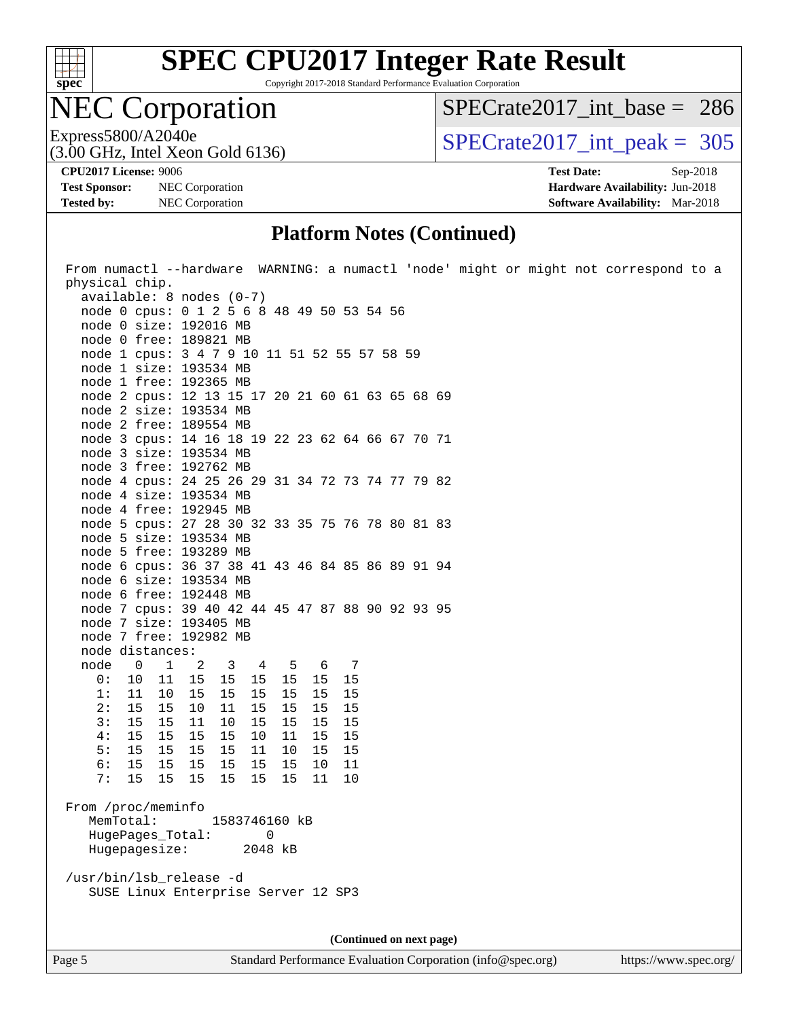

Copyright 2017-2018 Standard Performance Evaluation Corporation

## NEC Corporation

[SPECrate2017\\_int\\_base =](http://www.spec.org/auto/cpu2017/Docs/result-fields.html#SPECrate2017intbase) 286

(3.00 GHz, Intel Xeon Gold 6136)

Express5800/A2040e<br>  $\text{SPECrate2017\_int\_peak} = 305$ 

**[Test Sponsor:](http://www.spec.org/auto/cpu2017/Docs/result-fields.html#TestSponsor)** NEC Corporation **[Hardware Availability:](http://www.spec.org/auto/cpu2017/Docs/result-fields.html#HardwareAvailability)** Jun-2018 **[Tested by:](http://www.spec.org/auto/cpu2017/Docs/result-fields.html#Testedby)** NEC Corporation **[Software Availability:](http://www.spec.org/auto/cpu2017/Docs/result-fields.html#SoftwareAvailability)** Mar-2018

**[CPU2017 License:](http://www.spec.org/auto/cpu2017/Docs/result-fields.html#CPU2017License)** 9006 **[Test Date:](http://www.spec.org/auto/cpu2017/Docs/result-fields.html#TestDate)** Sep-2018

#### **[Platform Notes \(Continued\)](http://www.spec.org/auto/cpu2017/Docs/result-fields.html#PlatformNotes)**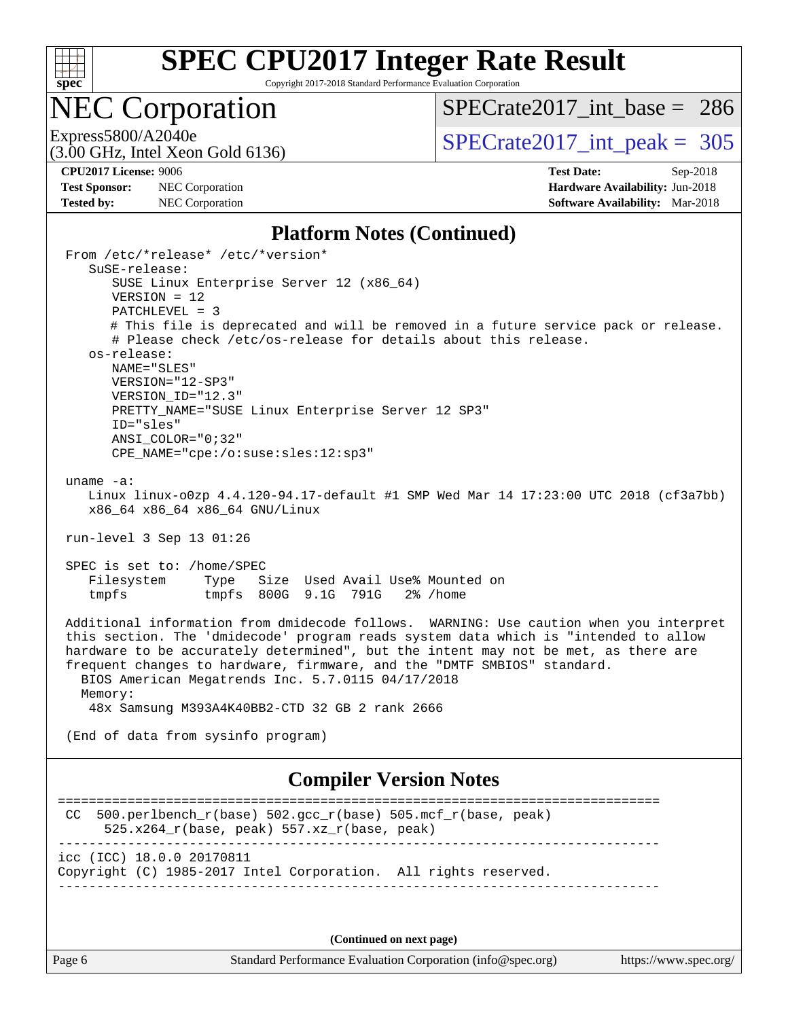

Copyright 2017-2018 Standard Performance Evaluation Corporation

## NEC Corporation

[SPECrate2017\\_int\\_base =](http://www.spec.org/auto/cpu2017/Docs/result-fields.html#SPECrate2017intbase) 286

(3.00 GHz, Intel Xeon Gold 6136)

Express5800/A2040e<br>  $\angle (3.00 \text{ GHz. Intel Yes} \cdot \text{Gold } 6136)$  [SPECrate2017\\_int\\_peak =](http://www.spec.org/auto/cpu2017/Docs/result-fields.html#SPECrate2017intpeak) 305

**[Test Sponsor:](http://www.spec.org/auto/cpu2017/Docs/result-fields.html#TestSponsor)** NEC Corporation **[Hardware Availability:](http://www.spec.org/auto/cpu2017/Docs/result-fields.html#HardwareAvailability)** Jun-2018

**[CPU2017 License:](http://www.spec.org/auto/cpu2017/Docs/result-fields.html#CPU2017License)** 9006 **[Test Date:](http://www.spec.org/auto/cpu2017/Docs/result-fields.html#TestDate)** Sep-2018 **[Tested by:](http://www.spec.org/auto/cpu2017/Docs/result-fields.html#Testedby)** NEC Corporation **[Software Availability:](http://www.spec.org/auto/cpu2017/Docs/result-fields.html#SoftwareAvailability)** Mar-2018

#### **[Platform Notes \(Continued\)](http://www.spec.org/auto/cpu2017/Docs/result-fields.html#PlatformNotes)**

 From /etc/\*release\* /etc/\*version\* SuSE-release: SUSE Linux Enterprise Server 12 (x86\_64) VERSION = 12 PATCHLEVEL = 3 # This file is deprecated and will be removed in a future service pack or release. # Please check /etc/os-release for details about this release. os-release: NAME="SLES" VERSION="12-SP3" VERSION\_ID="12.3" PRETTY NAME="SUSE Linux Enterprise Server 12 SP3" ID="sles" ANSI\_COLOR="0;32" CPE\_NAME="cpe:/o:suse:sles:12:sp3" uname -a: Linux linux-o0zp 4.4.120-94.17-default #1 SMP Wed Mar 14 17:23:00 UTC 2018 (cf3a7bb) x86\_64 x86\_64 x86\_64 GNU/Linux run-level 3 Sep 13 01:26 SPEC is set to: /home/SPEC Filesystem Type Size Used Avail Use% Mounted on tmpfs tmpfs 800G 9.1G 791G 2% /home Additional information from dmidecode follows. WARNING: Use caution when you interpret this section. The 'dmidecode' program reads system data which is "intended to allow hardware to be accurately determined", but the intent may not be met, as there are frequent changes to hardware, firmware, and the "DMTF SMBIOS" standard. BIOS American Megatrends Inc. 5.7.0115 04/17/2018 Memory: 48x Samsung M393A4K40BB2-CTD 32 GB 2 rank 2666 (End of data from sysinfo program) **[Compiler Version Notes](http://www.spec.org/auto/cpu2017/Docs/result-fields.html#CompilerVersionNotes)** ============================================================================== CC 500.perlbench  $r(base)$  502.gcc  $r(base)$  505.mcf  $r(base, peak)$  525.x264\_r(base, peak) 557.xz\_r(base, peak) ----------------------------------------------------------------------------- icc (ICC) 18.0.0 20170811 Copyright (C) 1985-2017 Intel Corporation. All rights reserved. ------------------------------------------------------------------------------

**(Continued on next page)**

Page 6 Standard Performance Evaluation Corporation [\(info@spec.org\)](mailto:info@spec.org) <https://www.spec.org/>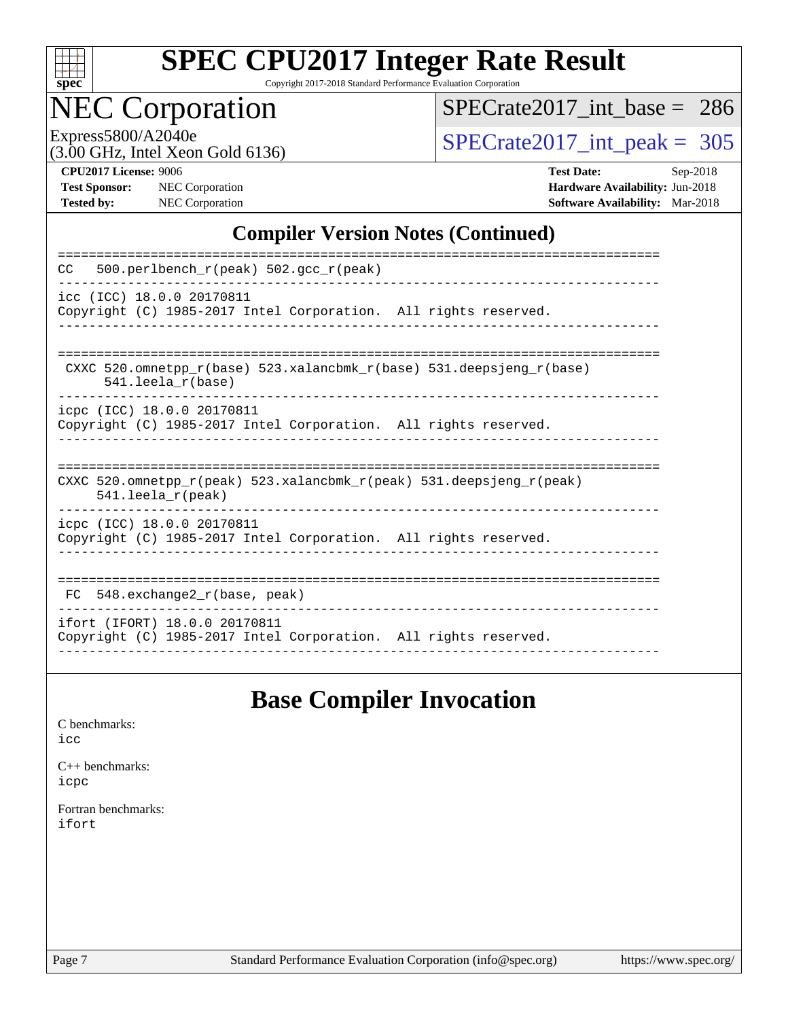

Copyright 2017-2018 Standard Performance Evaluation Corporation

# NEC Corporation

[SPECrate2017\\_int\\_base =](http://www.spec.org/auto/cpu2017/Docs/result-fields.html#SPECrate2017intbase) 286

(3.00 GHz, Intel Xeon Gold 6136)

Express5800/A2040e<br>  $(3.00 \text{ GHz})$  Intel Xeon Gold 6136)<br> [SPECrate2017\\_int\\_peak =](http://www.spec.org/auto/cpu2017/Docs/result-fields.html#SPECrate2017intpeak) 305

| <b>CPU2017 License: 9006</b> |  |
|------------------------------|--|

**[Test Sponsor:](http://www.spec.org/auto/cpu2017/Docs/result-fields.html#TestSponsor)** NEC Corporation **[Hardware Availability:](http://www.spec.org/auto/cpu2017/Docs/result-fields.html#HardwareAvailability)** Jun-2018

**[CPU2017 License:](http://www.spec.org/auto/cpu2017/Docs/result-fields.html#CPU2017License)** 9006 **[Test Date:](http://www.spec.org/auto/cpu2017/Docs/result-fields.html#TestDate)** Sep-2018 **[Tested by:](http://www.spec.org/auto/cpu2017/Docs/result-fields.html#Testedby)** NEC Corporation **[Software Availability:](http://www.spec.org/auto/cpu2017/Docs/result-fields.html#SoftwareAvailability)** Mar-2018

#### **[Compiler Version Notes \(Continued\)](http://www.spec.org/auto/cpu2017/Docs/result-fields.html#CompilerVersionNotes)**

| 500.perlbench $r(\text{peak})$ 502.gcc $r(\text{peak})$<br>CC                                                              |
|----------------------------------------------------------------------------------------------------------------------------|
| icc (ICC) 18.0.0 20170811<br>Copyright (C) 1985-2017 Intel Corporation. All rights reserved.                               |
| CXXC 520.omnetpp $r(base)$ 523.xalancbmk $r(base)$ 531.deepsjeng $r(base)$<br>$541.$ leela $r(base)$                       |
| icpc (ICC) 18.0.0 20170811<br>Copyright (C) 1985-2017 Intel Corporation. All rights reserved.                              |
| CXXC 520.omnetpp $r(\text{peak})$ 523.xalancbmk $r(\text{peak})$ 531.deepsjeng $r(\text{peak})$<br>$541.$ leela $r$ (peak) |
| icpc (ICC) 18.0.0 20170811<br>Copyright (C) 1985-2017 Intel Corporation. All rights reserved.                              |
| $548$ . exchange2 $r(base, peak)$<br>FC                                                                                    |
| ifort (IFORT) 18.0.0 20170811<br>Copyright (C) 1985-2017 Intel Corporation. All rights reserved.                           |

### **[Base Compiler Invocation](http://www.spec.org/auto/cpu2017/Docs/result-fields.html#BaseCompilerInvocation)**

[C benchmarks](http://www.spec.org/auto/cpu2017/Docs/result-fields.html#Cbenchmarks): [icc](http://www.spec.org/cpu2017/results/res2018q4/cpu2017-20180917-08902.flags.html#user_CCbase_intel_icc_18.0_66fc1ee009f7361af1fbd72ca7dcefbb700085f36577c54f309893dd4ec40d12360134090235512931783d35fd58c0460139e722d5067c5574d8eaf2b3e37e92)

[C++ benchmarks:](http://www.spec.org/auto/cpu2017/Docs/result-fields.html#CXXbenchmarks) [icpc](http://www.spec.org/cpu2017/results/res2018q4/cpu2017-20180917-08902.flags.html#user_CXXbase_intel_icpc_18.0_c510b6838c7f56d33e37e94d029a35b4a7bccf4766a728ee175e80a419847e808290a9b78be685c44ab727ea267ec2f070ec5dc83b407c0218cded6866a35d07)

[Fortran benchmarks](http://www.spec.org/auto/cpu2017/Docs/result-fields.html#Fortranbenchmarks): [ifort](http://www.spec.org/cpu2017/results/res2018q4/cpu2017-20180917-08902.flags.html#user_FCbase_intel_ifort_18.0_8111460550e3ca792625aed983ce982f94888b8b503583aa7ba2b8303487b4d8a21a13e7191a45c5fd58ff318f48f9492884d4413fa793fd88dd292cad7027ca)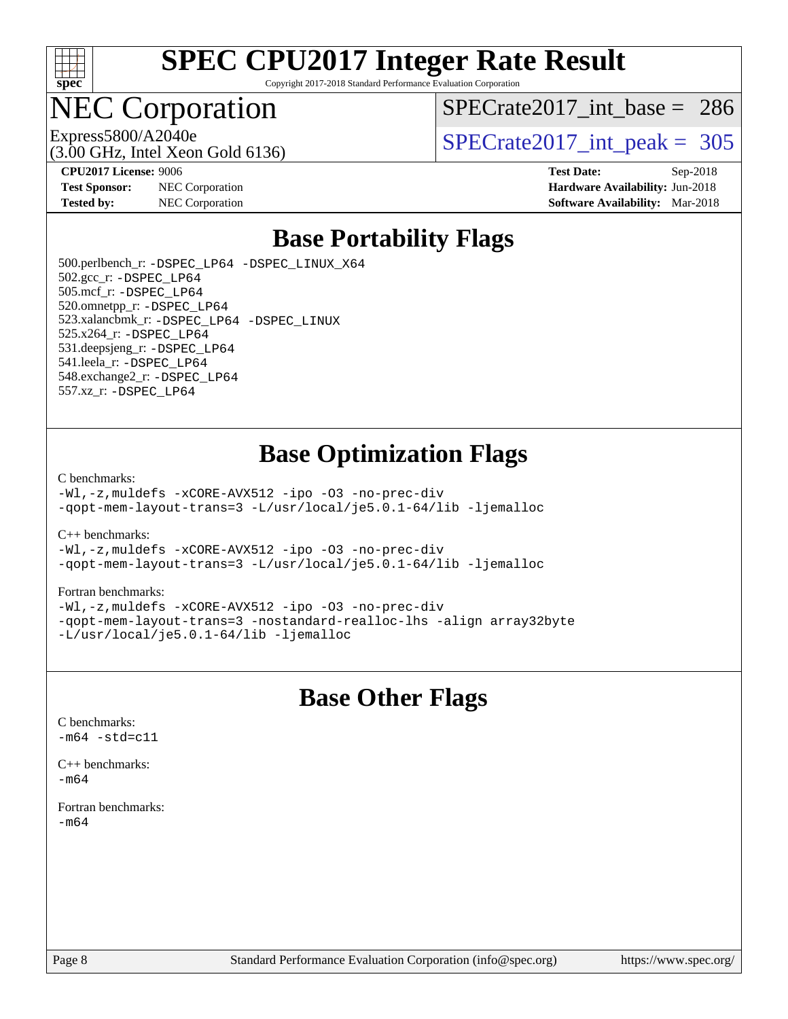

Copyright 2017-2018 Standard Performance Evaluation Corporation

## **EC Corporation**

[SPECrate2017\\_int\\_base =](http://www.spec.org/auto/cpu2017/Docs/result-fields.html#SPECrate2017intbase) 286

(3.00 GHz, Intel Xeon Gold 6136)

Express5800/A2040e<br>  $\text{SPECrate2017\_int\_peak} = 305$ 

**[Test Sponsor:](http://www.spec.org/auto/cpu2017/Docs/result-fields.html#TestSponsor)** NEC Corporation **[Hardware Availability:](http://www.spec.org/auto/cpu2017/Docs/result-fields.html#HardwareAvailability)** Jun-2018

**[CPU2017 License:](http://www.spec.org/auto/cpu2017/Docs/result-fields.html#CPU2017License)** 9006 **[Test Date:](http://www.spec.org/auto/cpu2017/Docs/result-fields.html#TestDate)** Sep-2018 **[Tested by:](http://www.spec.org/auto/cpu2017/Docs/result-fields.html#Testedby)** NEC Corporation **[Software Availability:](http://www.spec.org/auto/cpu2017/Docs/result-fields.html#SoftwareAvailability)** Mar-2018

### **[Base Portability Flags](http://www.spec.org/auto/cpu2017/Docs/result-fields.html#BasePortabilityFlags)**

 500.perlbench\_r: [-DSPEC\\_LP64](http://www.spec.org/cpu2017/results/res2018q4/cpu2017-20180917-08902.flags.html#b500.perlbench_r_basePORTABILITY_DSPEC_LP64) [-DSPEC\\_LINUX\\_X64](http://www.spec.org/cpu2017/results/res2018q4/cpu2017-20180917-08902.flags.html#b500.perlbench_r_baseCPORTABILITY_DSPEC_LINUX_X64) 502.gcc\_r: [-DSPEC\\_LP64](http://www.spec.org/cpu2017/results/res2018q4/cpu2017-20180917-08902.flags.html#suite_basePORTABILITY502_gcc_r_DSPEC_LP64) 505.mcf\_r: [-DSPEC\\_LP64](http://www.spec.org/cpu2017/results/res2018q4/cpu2017-20180917-08902.flags.html#suite_basePORTABILITY505_mcf_r_DSPEC_LP64) 520.omnetpp\_r: [-DSPEC\\_LP64](http://www.spec.org/cpu2017/results/res2018q4/cpu2017-20180917-08902.flags.html#suite_basePORTABILITY520_omnetpp_r_DSPEC_LP64) 523.xalancbmk\_r: [-DSPEC\\_LP64](http://www.spec.org/cpu2017/results/res2018q4/cpu2017-20180917-08902.flags.html#suite_basePORTABILITY523_xalancbmk_r_DSPEC_LP64) [-DSPEC\\_LINUX](http://www.spec.org/cpu2017/results/res2018q4/cpu2017-20180917-08902.flags.html#b523.xalancbmk_r_baseCXXPORTABILITY_DSPEC_LINUX) 525.x264\_r: [-DSPEC\\_LP64](http://www.spec.org/cpu2017/results/res2018q4/cpu2017-20180917-08902.flags.html#suite_basePORTABILITY525_x264_r_DSPEC_LP64) 531.deepsjeng\_r: [-DSPEC\\_LP64](http://www.spec.org/cpu2017/results/res2018q4/cpu2017-20180917-08902.flags.html#suite_basePORTABILITY531_deepsjeng_r_DSPEC_LP64) 541.leela\_r: [-DSPEC\\_LP64](http://www.spec.org/cpu2017/results/res2018q4/cpu2017-20180917-08902.flags.html#suite_basePORTABILITY541_leela_r_DSPEC_LP64) 548.exchange2\_r: [-DSPEC\\_LP64](http://www.spec.org/cpu2017/results/res2018q4/cpu2017-20180917-08902.flags.html#suite_basePORTABILITY548_exchange2_r_DSPEC_LP64) 557.xz\_r: [-DSPEC\\_LP64](http://www.spec.org/cpu2017/results/res2018q4/cpu2017-20180917-08902.flags.html#suite_basePORTABILITY557_xz_r_DSPEC_LP64)

### **[Base Optimization Flags](http://www.spec.org/auto/cpu2017/Docs/result-fields.html#BaseOptimizationFlags)**

[C benchmarks](http://www.spec.org/auto/cpu2017/Docs/result-fields.html#Cbenchmarks):

[-Wl,-z,muldefs](http://www.spec.org/cpu2017/results/res2018q4/cpu2017-20180917-08902.flags.html#user_CCbase_link_force_multiple1_b4cbdb97b34bdee9ceefcfe54f4c8ea74255f0b02a4b23e853cdb0e18eb4525ac79b5a88067c842dd0ee6996c24547a27a4b99331201badda8798ef8a743f577) [-xCORE-AVX512](http://www.spec.org/cpu2017/results/res2018q4/cpu2017-20180917-08902.flags.html#user_CCbase_f-xCORE-AVX512) [-ipo](http://www.spec.org/cpu2017/results/res2018q4/cpu2017-20180917-08902.flags.html#user_CCbase_f-ipo) [-O3](http://www.spec.org/cpu2017/results/res2018q4/cpu2017-20180917-08902.flags.html#user_CCbase_f-O3) [-no-prec-div](http://www.spec.org/cpu2017/results/res2018q4/cpu2017-20180917-08902.flags.html#user_CCbase_f-no-prec-div) [-qopt-mem-layout-trans=3](http://www.spec.org/cpu2017/results/res2018q4/cpu2017-20180917-08902.flags.html#user_CCbase_f-qopt-mem-layout-trans_de80db37974c74b1f0e20d883f0b675c88c3b01e9d123adea9b28688d64333345fb62bc4a798493513fdb68f60282f9a726aa07f478b2f7113531aecce732043) [-L/usr/local/je5.0.1-64/lib](http://www.spec.org/cpu2017/results/res2018q4/cpu2017-20180917-08902.flags.html#user_CCbase_jemalloc_link_path64_4b10a636b7bce113509b17f3bd0d6226c5fb2346b9178c2d0232c14f04ab830f976640479e5c33dc2bcbbdad86ecfb6634cbbd4418746f06f368b512fced5394) [-ljemalloc](http://www.spec.org/cpu2017/results/res2018q4/cpu2017-20180917-08902.flags.html#user_CCbase_jemalloc_link_lib_d1249b907c500fa1c0672f44f562e3d0f79738ae9e3c4a9c376d49f265a04b9c99b167ecedbf6711b3085be911c67ff61f150a17b3472be731631ba4d0471706)

[C++ benchmarks:](http://www.spec.org/auto/cpu2017/Docs/result-fields.html#CXXbenchmarks)

[-Wl,-z,muldefs](http://www.spec.org/cpu2017/results/res2018q4/cpu2017-20180917-08902.flags.html#user_CXXbase_link_force_multiple1_b4cbdb97b34bdee9ceefcfe54f4c8ea74255f0b02a4b23e853cdb0e18eb4525ac79b5a88067c842dd0ee6996c24547a27a4b99331201badda8798ef8a743f577) [-xCORE-AVX512](http://www.spec.org/cpu2017/results/res2018q4/cpu2017-20180917-08902.flags.html#user_CXXbase_f-xCORE-AVX512) [-ipo](http://www.spec.org/cpu2017/results/res2018q4/cpu2017-20180917-08902.flags.html#user_CXXbase_f-ipo) [-O3](http://www.spec.org/cpu2017/results/res2018q4/cpu2017-20180917-08902.flags.html#user_CXXbase_f-O3) [-no-prec-div](http://www.spec.org/cpu2017/results/res2018q4/cpu2017-20180917-08902.flags.html#user_CXXbase_f-no-prec-div) [-qopt-mem-layout-trans=3](http://www.spec.org/cpu2017/results/res2018q4/cpu2017-20180917-08902.flags.html#user_CXXbase_f-qopt-mem-layout-trans_de80db37974c74b1f0e20d883f0b675c88c3b01e9d123adea9b28688d64333345fb62bc4a798493513fdb68f60282f9a726aa07f478b2f7113531aecce732043) [-L/usr/local/je5.0.1-64/lib](http://www.spec.org/cpu2017/results/res2018q4/cpu2017-20180917-08902.flags.html#user_CXXbase_jemalloc_link_path64_4b10a636b7bce113509b17f3bd0d6226c5fb2346b9178c2d0232c14f04ab830f976640479e5c33dc2bcbbdad86ecfb6634cbbd4418746f06f368b512fced5394) [-ljemalloc](http://www.spec.org/cpu2017/results/res2018q4/cpu2017-20180917-08902.flags.html#user_CXXbase_jemalloc_link_lib_d1249b907c500fa1c0672f44f562e3d0f79738ae9e3c4a9c376d49f265a04b9c99b167ecedbf6711b3085be911c67ff61f150a17b3472be731631ba4d0471706)

#### [Fortran benchmarks](http://www.spec.org/auto/cpu2017/Docs/result-fields.html#Fortranbenchmarks):

[-Wl,-z,muldefs](http://www.spec.org/cpu2017/results/res2018q4/cpu2017-20180917-08902.flags.html#user_FCbase_link_force_multiple1_b4cbdb97b34bdee9ceefcfe54f4c8ea74255f0b02a4b23e853cdb0e18eb4525ac79b5a88067c842dd0ee6996c24547a27a4b99331201badda8798ef8a743f577) [-xCORE-AVX512](http://www.spec.org/cpu2017/results/res2018q4/cpu2017-20180917-08902.flags.html#user_FCbase_f-xCORE-AVX512) [-ipo](http://www.spec.org/cpu2017/results/res2018q4/cpu2017-20180917-08902.flags.html#user_FCbase_f-ipo) [-O3](http://www.spec.org/cpu2017/results/res2018q4/cpu2017-20180917-08902.flags.html#user_FCbase_f-O3) [-no-prec-div](http://www.spec.org/cpu2017/results/res2018q4/cpu2017-20180917-08902.flags.html#user_FCbase_f-no-prec-div) [-qopt-mem-layout-trans=3](http://www.spec.org/cpu2017/results/res2018q4/cpu2017-20180917-08902.flags.html#user_FCbase_f-qopt-mem-layout-trans_de80db37974c74b1f0e20d883f0b675c88c3b01e9d123adea9b28688d64333345fb62bc4a798493513fdb68f60282f9a726aa07f478b2f7113531aecce732043) [-nostandard-realloc-lhs](http://www.spec.org/cpu2017/results/res2018q4/cpu2017-20180917-08902.flags.html#user_FCbase_f_2003_std_realloc_82b4557e90729c0f113870c07e44d33d6f5a304b4f63d4c15d2d0f1fab99f5daaed73bdb9275d9ae411527f28b936061aa8b9c8f2d63842963b95c9dd6426b8a) [-align array32byte](http://www.spec.org/cpu2017/results/res2018q4/cpu2017-20180917-08902.flags.html#user_FCbase_align_array32byte_b982fe038af199962ba9a80c053b8342c548c85b40b8e86eb3cc33dee0d7986a4af373ac2d51c3f7cf710a18d62fdce2948f201cd044323541f22fc0fffc51b6) [-L/usr/local/je5.0.1-64/lib](http://www.spec.org/cpu2017/results/res2018q4/cpu2017-20180917-08902.flags.html#user_FCbase_jemalloc_link_path64_4b10a636b7bce113509b17f3bd0d6226c5fb2346b9178c2d0232c14f04ab830f976640479e5c33dc2bcbbdad86ecfb6634cbbd4418746f06f368b512fced5394) [-ljemalloc](http://www.spec.org/cpu2017/results/res2018q4/cpu2017-20180917-08902.flags.html#user_FCbase_jemalloc_link_lib_d1249b907c500fa1c0672f44f562e3d0f79738ae9e3c4a9c376d49f265a04b9c99b167ecedbf6711b3085be911c67ff61f150a17b3472be731631ba4d0471706)

### **[Base Other Flags](http://www.spec.org/auto/cpu2017/Docs/result-fields.html#BaseOtherFlags)**

[C benchmarks](http://www.spec.org/auto/cpu2017/Docs/result-fields.html#Cbenchmarks):  $-m64 - std= c11$  $-m64 - std= c11$ 

[C++ benchmarks:](http://www.spec.org/auto/cpu2017/Docs/result-fields.html#CXXbenchmarks)  $-m64$ 

[Fortran benchmarks](http://www.spec.org/auto/cpu2017/Docs/result-fields.html#Fortranbenchmarks): [-m64](http://www.spec.org/cpu2017/results/res2018q4/cpu2017-20180917-08902.flags.html#user_FCbase_intel_intel64_18.0_af43caccfc8ded86e7699f2159af6efc7655f51387b94da716254467f3c01020a5059329e2569e4053f409e7c9202a7efc638f7a6d1ffb3f52dea4a3e31d82ab)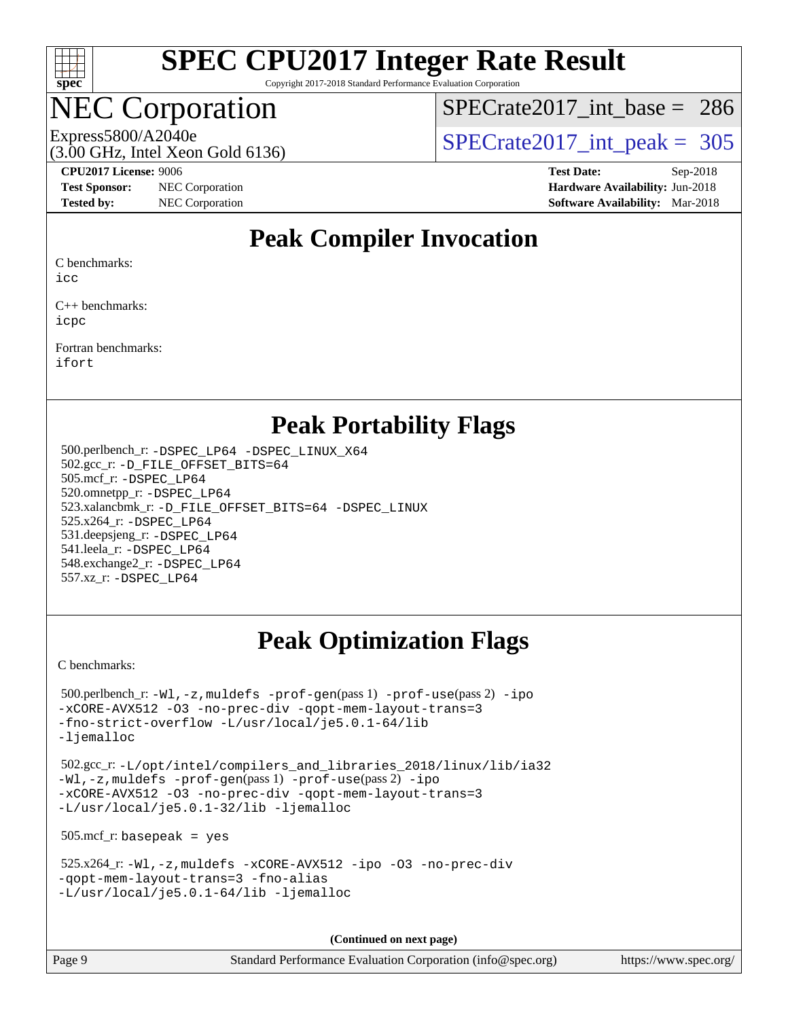

Copyright 2017-2018 Standard Performance Evaluation Corporation

## **EC Corporation**

(3.00 GHz, Intel Xeon Gold 6136)

[SPECrate2017\\_int\\_base =](http://www.spec.org/auto/cpu2017/Docs/result-fields.html#SPECrate2017intbase) 286

Express5800/A2040e<br>  $\text{SPECrate2017\_int\_peak} = 305$ 

**[Test Sponsor:](http://www.spec.org/auto/cpu2017/Docs/result-fields.html#TestSponsor)** NEC Corporation **[Hardware Availability:](http://www.spec.org/auto/cpu2017/Docs/result-fields.html#HardwareAvailability)** Jun-2018

**[CPU2017 License:](http://www.spec.org/auto/cpu2017/Docs/result-fields.html#CPU2017License)** 9006 **[Test Date:](http://www.spec.org/auto/cpu2017/Docs/result-fields.html#TestDate)** Sep-2018 **[Tested by:](http://www.spec.org/auto/cpu2017/Docs/result-fields.html#Testedby)** NEC Corporation **[Software Availability:](http://www.spec.org/auto/cpu2017/Docs/result-fields.html#SoftwareAvailability)** Mar-2018

### **[Peak Compiler Invocation](http://www.spec.org/auto/cpu2017/Docs/result-fields.html#PeakCompilerInvocation)**

[C benchmarks:](http://www.spec.org/auto/cpu2017/Docs/result-fields.html#Cbenchmarks)

[icc](http://www.spec.org/cpu2017/results/res2018q4/cpu2017-20180917-08902.flags.html#user_CCpeak_intel_icc_18.0_66fc1ee009f7361af1fbd72ca7dcefbb700085f36577c54f309893dd4ec40d12360134090235512931783d35fd58c0460139e722d5067c5574d8eaf2b3e37e92)

[C++ benchmarks:](http://www.spec.org/auto/cpu2017/Docs/result-fields.html#CXXbenchmarks) [icpc](http://www.spec.org/cpu2017/results/res2018q4/cpu2017-20180917-08902.flags.html#user_CXXpeak_intel_icpc_18.0_c510b6838c7f56d33e37e94d029a35b4a7bccf4766a728ee175e80a419847e808290a9b78be685c44ab727ea267ec2f070ec5dc83b407c0218cded6866a35d07)

[Fortran benchmarks](http://www.spec.org/auto/cpu2017/Docs/result-fields.html#Fortranbenchmarks): [ifort](http://www.spec.org/cpu2017/results/res2018q4/cpu2017-20180917-08902.flags.html#user_FCpeak_intel_ifort_18.0_8111460550e3ca792625aed983ce982f94888b8b503583aa7ba2b8303487b4d8a21a13e7191a45c5fd58ff318f48f9492884d4413fa793fd88dd292cad7027ca)

### **[Peak Portability Flags](http://www.spec.org/auto/cpu2017/Docs/result-fields.html#PeakPortabilityFlags)**

 500.perlbench\_r: [-DSPEC\\_LP64](http://www.spec.org/cpu2017/results/res2018q4/cpu2017-20180917-08902.flags.html#b500.perlbench_r_peakPORTABILITY_DSPEC_LP64) [-DSPEC\\_LINUX\\_X64](http://www.spec.org/cpu2017/results/res2018q4/cpu2017-20180917-08902.flags.html#b500.perlbench_r_peakCPORTABILITY_DSPEC_LINUX_X64) 502.gcc\_r: [-D\\_FILE\\_OFFSET\\_BITS=64](http://www.spec.org/cpu2017/results/res2018q4/cpu2017-20180917-08902.flags.html#user_peakPORTABILITY502_gcc_r_file_offset_bits_64_5ae949a99b284ddf4e95728d47cb0843d81b2eb0e18bdfe74bbf0f61d0b064f4bda2f10ea5eb90e1dcab0e84dbc592acfc5018bc955c18609f94ddb8d550002c) 505.mcf\_r: [-DSPEC\\_LP64](http://www.spec.org/cpu2017/results/res2018q4/cpu2017-20180917-08902.flags.html#suite_peakPORTABILITY505_mcf_r_DSPEC_LP64) 520.omnetpp\_r: [-DSPEC\\_LP64](http://www.spec.org/cpu2017/results/res2018q4/cpu2017-20180917-08902.flags.html#suite_peakPORTABILITY520_omnetpp_r_DSPEC_LP64) 523.xalancbmk\_r: [-D\\_FILE\\_OFFSET\\_BITS=64](http://www.spec.org/cpu2017/results/res2018q4/cpu2017-20180917-08902.flags.html#user_peakPORTABILITY523_xalancbmk_r_file_offset_bits_64_5ae949a99b284ddf4e95728d47cb0843d81b2eb0e18bdfe74bbf0f61d0b064f4bda2f10ea5eb90e1dcab0e84dbc592acfc5018bc955c18609f94ddb8d550002c) [-DSPEC\\_LINUX](http://www.spec.org/cpu2017/results/res2018q4/cpu2017-20180917-08902.flags.html#b523.xalancbmk_r_peakCXXPORTABILITY_DSPEC_LINUX) 525.x264\_r: [-DSPEC\\_LP64](http://www.spec.org/cpu2017/results/res2018q4/cpu2017-20180917-08902.flags.html#suite_peakPORTABILITY525_x264_r_DSPEC_LP64) 531.deepsjeng\_r: [-DSPEC\\_LP64](http://www.spec.org/cpu2017/results/res2018q4/cpu2017-20180917-08902.flags.html#suite_peakPORTABILITY531_deepsjeng_r_DSPEC_LP64) 541.leela\_r: [-DSPEC\\_LP64](http://www.spec.org/cpu2017/results/res2018q4/cpu2017-20180917-08902.flags.html#suite_peakPORTABILITY541_leela_r_DSPEC_LP64) 548.exchange2\_r: [-DSPEC\\_LP64](http://www.spec.org/cpu2017/results/res2018q4/cpu2017-20180917-08902.flags.html#suite_peakPORTABILITY548_exchange2_r_DSPEC_LP64) 557.xz\_r: [-DSPEC\\_LP64](http://www.spec.org/cpu2017/results/res2018q4/cpu2017-20180917-08902.flags.html#suite_peakPORTABILITY557_xz_r_DSPEC_LP64)

## **[Peak Optimization Flags](http://www.spec.org/auto/cpu2017/Docs/result-fields.html#PeakOptimizationFlags)**

[C benchmarks](http://www.spec.org/auto/cpu2017/Docs/result-fields.html#Cbenchmarks):

```
 500.perlbench_r: -Wl,-z,muldefs -prof-gen(pass 1) -prof-use(pass 2) -ipo
-xCORE-AVX512 -O3 -no-prec-div -qopt-mem-layout-trans=3
-fno-strict-overflow -L/usr/local/je5.0.1-64/lib
-ljemalloc
 502.gcc_r: -L/opt/intel/compilers_and_libraries_2018/linux/lib/ia32
-Wl,-z,muldefs -prof-gen(pass 1) -prof-use(pass 2) -ipo
-xCORE-AVX512 -O3 -no-prec-div -qopt-mem-layout-trans=3
-L/usr/local/je5.0.1-32/lib -ljemalloc
 505.mcf_r: basepeak = yes
 525.x264_r: -Wl,-z,muldefs -xCORE-AVX512 -ipo -O3 -no-prec-div
-qopt-mem-layout-trans=3 -fno-alias
-L/usr/local/je5.0.1-64/lib -ljemalloc
```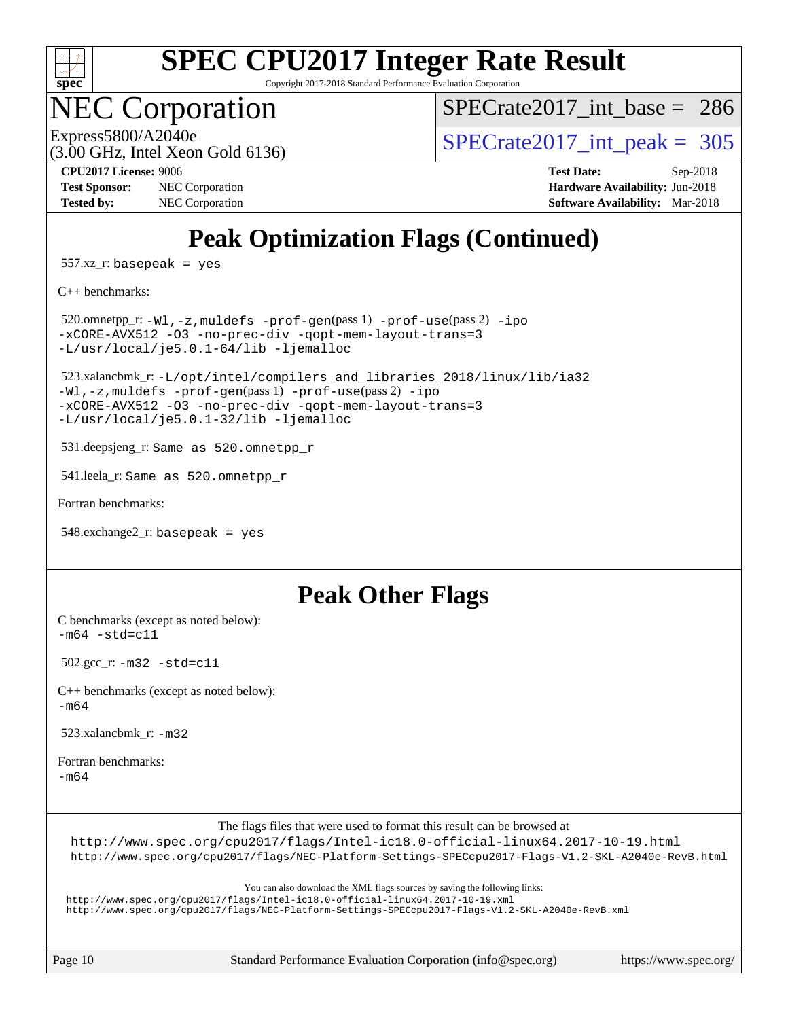

Copyright 2017-2018 Standard Performance Evaluation Corporation

## **EC Corporation**

[SPECrate2017\\_int\\_base =](http://www.spec.org/auto/cpu2017/Docs/result-fields.html#SPECrate2017intbase) 286

Express5800/A2040e<br>(3.00 GHz, Intel Xeon Gold 6136)

 $SPECTate2017\_int\_peak = 305$ 

**[Test Sponsor:](http://www.spec.org/auto/cpu2017/Docs/result-fields.html#TestSponsor)** NEC Corporation **[Hardware Availability:](http://www.spec.org/auto/cpu2017/Docs/result-fields.html#HardwareAvailability)** Jun-2018 **[Tested by:](http://www.spec.org/auto/cpu2017/Docs/result-fields.html#Testedby)** NEC Corporation **[Software Availability:](http://www.spec.org/auto/cpu2017/Docs/result-fields.html#SoftwareAvailability)** Mar-2018

**[CPU2017 License:](http://www.spec.org/auto/cpu2017/Docs/result-fields.html#CPU2017License)** 9006 **[Test Date:](http://www.spec.org/auto/cpu2017/Docs/result-fields.html#TestDate)** Sep-2018

## **[Peak Optimization Flags \(Continued\)](http://www.spec.org/auto/cpu2017/Docs/result-fields.html#PeakOptimizationFlags)**

557.xz\_r: basepeak = yes

[C++ benchmarks:](http://www.spec.org/auto/cpu2017/Docs/result-fields.html#CXXbenchmarks)

 520.omnetpp\_r: [-Wl,-z,muldefs](http://www.spec.org/cpu2017/results/res2018q4/cpu2017-20180917-08902.flags.html#user_peakEXTRA_LDFLAGS520_omnetpp_r_link_force_multiple1_b4cbdb97b34bdee9ceefcfe54f4c8ea74255f0b02a4b23e853cdb0e18eb4525ac79b5a88067c842dd0ee6996c24547a27a4b99331201badda8798ef8a743f577) [-prof-gen](http://www.spec.org/cpu2017/results/res2018q4/cpu2017-20180917-08902.flags.html#user_peakPASS1_CXXFLAGSPASS1_LDFLAGS520_omnetpp_r_prof_gen_5aa4926d6013ddb2a31985c654b3eb18169fc0c6952a63635c234f711e6e63dd76e94ad52365559451ec499a2cdb89e4dc58ba4c67ef54ca681ffbe1461d6b36)(pass 1) [-prof-use](http://www.spec.org/cpu2017/results/res2018q4/cpu2017-20180917-08902.flags.html#user_peakPASS2_CXXFLAGSPASS2_LDFLAGS520_omnetpp_r_prof_use_1a21ceae95f36a2b53c25747139a6c16ca95bd9def2a207b4f0849963b97e94f5260e30a0c64f4bb623698870e679ca08317ef8150905d41bd88c6f78df73f19)(pass 2) [-ipo](http://www.spec.org/cpu2017/results/res2018q4/cpu2017-20180917-08902.flags.html#user_peakPASS1_CXXOPTIMIZEPASS2_CXXOPTIMIZE520_omnetpp_r_f-ipo) [-xCORE-AVX512](http://www.spec.org/cpu2017/results/res2018q4/cpu2017-20180917-08902.flags.html#user_peakPASS2_CXXOPTIMIZE520_omnetpp_r_f-xCORE-AVX512) [-O3](http://www.spec.org/cpu2017/results/res2018q4/cpu2017-20180917-08902.flags.html#user_peakPASS1_CXXOPTIMIZEPASS2_CXXOPTIMIZE520_omnetpp_r_f-O3) [-no-prec-div](http://www.spec.org/cpu2017/results/res2018q4/cpu2017-20180917-08902.flags.html#user_peakPASS1_CXXOPTIMIZEPASS2_CXXOPTIMIZE520_omnetpp_r_f-no-prec-div) [-qopt-mem-layout-trans=3](http://www.spec.org/cpu2017/results/res2018q4/cpu2017-20180917-08902.flags.html#user_peakPASS1_CXXOPTIMIZEPASS2_CXXOPTIMIZE520_omnetpp_r_f-qopt-mem-layout-trans_de80db37974c74b1f0e20d883f0b675c88c3b01e9d123adea9b28688d64333345fb62bc4a798493513fdb68f60282f9a726aa07f478b2f7113531aecce732043) [-L/usr/local/je5.0.1-64/lib](http://www.spec.org/cpu2017/results/res2018q4/cpu2017-20180917-08902.flags.html#user_peakEXTRA_LIBS520_omnetpp_r_jemalloc_link_path64_4b10a636b7bce113509b17f3bd0d6226c5fb2346b9178c2d0232c14f04ab830f976640479e5c33dc2bcbbdad86ecfb6634cbbd4418746f06f368b512fced5394) [-ljemalloc](http://www.spec.org/cpu2017/results/res2018q4/cpu2017-20180917-08902.flags.html#user_peakEXTRA_LIBS520_omnetpp_r_jemalloc_link_lib_d1249b907c500fa1c0672f44f562e3d0f79738ae9e3c4a9c376d49f265a04b9c99b167ecedbf6711b3085be911c67ff61f150a17b3472be731631ba4d0471706)

 523.xalancbmk\_r: [-L/opt/intel/compilers\\_and\\_libraries\\_2018/linux/lib/ia32](http://www.spec.org/cpu2017/results/res2018q4/cpu2017-20180917-08902.flags.html#user_peakCXXLD523_xalancbmk_r_Enable-32bit-runtime_af243bdb1d79e4c7a4f720bf8275e627de2ecd461de63307bc14cef0633fde3cd7bb2facb32dcc8be9566045fb55d40ce2b72b725f73827aa7833441b71b9343) [-Wl,-z,muldefs](http://www.spec.org/cpu2017/results/res2018q4/cpu2017-20180917-08902.flags.html#user_peakEXTRA_LDFLAGS523_xalancbmk_r_link_force_multiple1_b4cbdb97b34bdee9ceefcfe54f4c8ea74255f0b02a4b23e853cdb0e18eb4525ac79b5a88067c842dd0ee6996c24547a27a4b99331201badda8798ef8a743f577) [-prof-gen](http://www.spec.org/cpu2017/results/res2018q4/cpu2017-20180917-08902.flags.html#user_peakPASS1_CXXFLAGSPASS1_LDFLAGS523_xalancbmk_r_prof_gen_5aa4926d6013ddb2a31985c654b3eb18169fc0c6952a63635c234f711e6e63dd76e94ad52365559451ec499a2cdb89e4dc58ba4c67ef54ca681ffbe1461d6b36)(pass 1) [-prof-use](http://www.spec.org/cpu2017/results/res2018q4/cpu2017-20180917-08902.flags.html#user_peakPASS2_CXXFLAGSPASS2_LDFLAGS523_xalancbmk_r_prof_use_1a21ceae95f36a2b53c25747139a6c16ca95bd9def2a207b4f0849963b97e94f5260e30a0c64f4bb623698870e679ca08317ef8150905d41bd88c6f78df73f19)(pass 2) [-ipo](http://www.spec.org/cpu2017/results/res2018q4/cpu2017-20180917-08902.flags.html#user_peakPASS1_CXXOPTIMIZEPASS2_CXXOPTIMIZE523_xalancbmk_r_f-ipo) [-xCORE-AVX512](http://www.spec.org/cpu2017/results/res2018q4/cpu2017-20180917-08902.flags.html#user_peakPASS2_CXXOPTIMIZE523_xalancbmk_r_f-xCORE-AVX512) [-O3](http://www.spec.org/cpu2017/results/res2018q4/cpu2017-20180917-08902.flags.html#user_peakPASS1_CXXOPTIMIZEPASS2_CXXOPTIMIZE523_xalancbmk_r_f-O3) [-no-prec-div](http://www.spec.org/cpu2017/results/res2018q4/cpu2017-20180917-08902.flags.html#user_peakPASS1_CXXOPTIMIZEPASS2_CXXOPTIMIZE523_xalancbmk_r_f-no-prec-div) [-qopt-mem-layout-trans=3](http://www.spec.org/cpu2017/results/res2018q4/cpu2017-20180917-08902.flags.html#user_peakPASS1_CXXOPTIMIZEPASS2_CXXOPTIMIZE523_xalancbmk_r_f-qopt-mem-layout-trans_de80db37974c74b1f0e20d883f0b675c88c3b01e9d123adea9b28688d64333345fb62bc4a798493513fdb68f60282f9a726aa07f478b2f7113531aecce732043) [-L/usr/local/je5.0.1-32/lib](http://www.spec.org/cpu2017/results/res2018q4/cpu2017-20180917-08902.flags.html#user_peakEXTRA_LIBS523_xalancbmk_r_jemalloc_link_path32_e29f22e8e6c17053bbc6a0971f5a9c01a601a06bb1a59df2084b77a2fe0a2995b64fd4256feaeea39eeba3aae142e96e2b2b0a28974019c0c0c88139a84f900a) [-ljemalloc](http://www.spec.org/cpu2017/results/res2018q4/cpu2017-20180917-08902.flags.html#user_peakEXTRA_LIBS523_xalancbmk_r_jemalloc_link_lib_d1249b907c500fa1c0672f44f562e3d0f79738ae9e3c4a9c376d49f265a04b9c99b167ecedbf6711b3085be911c67ff61f150a17b3472be731631ba4d0471706)

531.deepsjeng\_r: Same as 520.omnetpp\_r

541.leela\_r: Same as 520.omnetpp\_r

[Fortran benchmarks](http://www.spec.org/auto/cpu2017/Docs/result-fields.html#Fortranbenchmarks):

```
 548.exchange2_r: basepeak = yes
```
### **[Peak Other Flags](http://www.spec.org/auto/cpu2017/Docs/result-fields.html#PeakOtherFlags)**

[C benchmarks \(except as noted below\)](http://www.spec.org/auto/cpu2017/Docs/result-fields.html#Cbenchmarksexceptasnotedbelow):  $-m64 - std= c11$  $-m64 - std= c11$ 

502.gcc\_r: [-m32](http://www.spec.org/cpu2017/results/res2018q4/cpu2017-20180917-08902.flags.html#user_peakCCLD502_gcc_r_intel_ia32_18.0_2666f1173eb60787016b673bfe1358e27016ef7649ea4884b7bc6187fd89dc221d14632e22638cde1c647a518de97358ab15d4ad098ee4e19a8b28d0c25e14bf) [-std=c11](http://www.spec.org/cpu2017/results/res2018q4/cpu2017-20180917-08902.flags.html#user_peakCCLD502_gcc_r_intel_compiler_c11_mode_0e1c27790398a4642dfca32ffe6c27b5796f9c2d2676156f2e42c9c44eaad0c049b1cdb667a270c34d979996257aeb8fc440bfb01818dbc9357bd9d174cb8524)

[C++ benchmarks \(except as noted below\):](http://www.spec.org/auto/cpu2017/Docs/result-fields.html#CXXbenchmarksexceptasnotedbelow) [-m64](http://www.spec.org/cpu2017/results/res2018q4/cpu2017-20180917-08902.flags.html#user_CXXpeak_intel_intel64_18.0_af43caccfc8ded86e7699f2159af6efc7655f51387b94da716254467f3c01020a5059329e2569e4053f409e7c9202a7efc638f7a6d1ffb3f52dea4a3e31d82ab)

523.xalancbmk\_r: [-m32](http://www.spec.org/cpu2017/results/res2018q4/cpu2017-20180917-08902.flags.html#user_peakCXXLD523_xalancbmk_r_intel_ia32_18.0_2666f1173eb60787016b673bfe1358e27016ef7649ea4884b7bc6187fd89dc221d14632e22638cde1c647a518de97358ab15d4ad098ee4e19a8b28d0c25e14bf)

[Fortran benchmarks](http://www.spec.org/auto/cpu2017/Docs/result-fields.html#Fortranbenchmarks): [-m64](http://www.spec.org/cpu2017/results/res2018q4/cpu2017-20180917-08902.flags.html#user_FCpeak_intel_intel64_18.0_af43caccfc8ded86e7699f2159af6efc7655f51387b94da716254467f3c01020a5059329e2569e4053f409e7c9202a7efc638f7a6d1ffb3f52dea4a3e31d82ab)

The flags files that were used to format this result can be browsed at

<http://www.spec.org/cpu2017/flags/Intel-ic18.0-official-linux64.2017-10-19.html> <http://www.spec.org/cpu2017/flags/NEC-Platform-Settings-SPECcpu2017-Flags-V1.2-SKL-A2040e-RevB.html>

You can also download the XML flags sources by saving the following links:

<http://www.spec.org/cpu2017/flags/Intel-ic18.0-official-linux64.2017-10-19.xml> <http://www.spec.org/cpu2017/flags/NEC-Platform-Settings-SPECcpu2017-Flags-V1.2-SKL-A2040e-RevB.xml>

Page 10 Standard Performance Evaluation Corporation [\(info@spec.org\)](mailto:info@spec.org) <https://www.spec.org/>